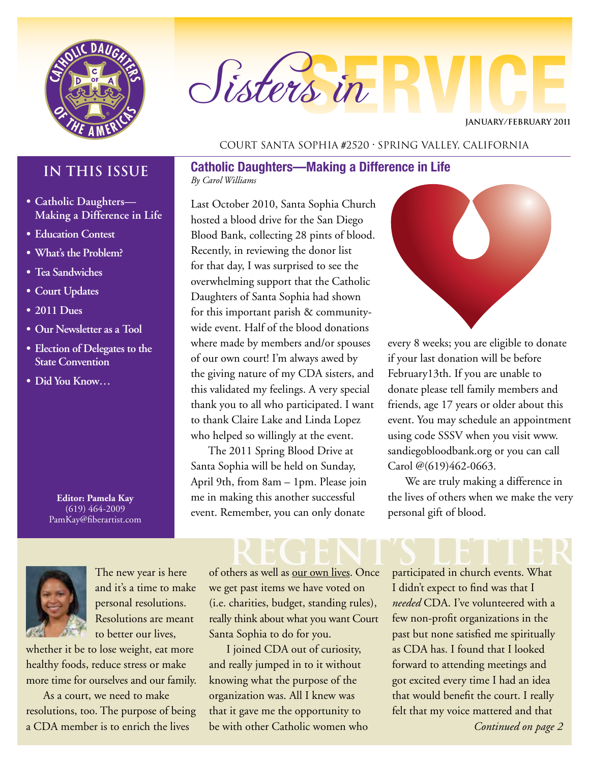

# Sisters in

**JANUARY/February 2011**

#### Court Santa Sophia #2520 • Spring Valley, California

### **IN THIS ISSUE**

- **• Catholic Daughters— Making a Difference in Life**
- **• Education Contest**
- **• What's the Problem?**
- **• Tea Sandwiches**
- **• Court Updates**
- **• 2011 Dues**
- **• Our Newsletter as a Tool**
- **• Election of Delegates to the State Convention**
- **• Did You Know…**

**Editor: Pamela Kay** (619) 464-2009 PamKay@fiberartist.com



The new year is here and it's a time to make personal resolutions. Resolutions are meant to better our lives,

whether it be to lose weight, eat more healthy foods, reduce stress or make more time for ourselves and our family.

As a court, we need to make resolutions, too. The purpose of being a CDA member is to enrich the lives

of others as well as our own lives. Once we get past items we have voted on (i.e. charities, budget, standing rules), really think about what you want Court Santa Sophia to do for you.

Last October 2010, Santa Sophia Church hosted a blood drive for the San Diego Blood Bank, collecting 28 pints of blood.

**Catholic Daughters—Making a Difference in Life**

Recently, in reviewing the donor list for that day, I was surprised to see the overwhelming support that the Catholic Daughters of Santa Sophia had shown for this important parish & communitywide event. Half of the blood donations where made by members and/or spouses of our own court! I'm always awed by the giving nature of my CDA sisters, and this validated my feelings. A very special thank you to all who participated. I want to thank Claire Lake and Linda Lopez who helped so willingly at the event. The 2011 Spring Blood Drive at Santa Sophia will be held on Sunday, April 9th, from 8am – 1pm. Please join me in making this another successful event. Remember, you can only donate

*By Carol Williams*

I joined CDA out of curiosity, and really jumped in to it without knowing what the purpose of the organization was. All I knew was that it gave me the opportunity to be with other Catholic women who



every 8 weeks; you are eligible to donate if your last donation will be before February13th. If you are unable to donate please tell family members and friends, age 17 years or older about this event. You may schedule an appointment using code SSSV when you visit www. sandiegobloodbank.org or you can call Carol @(619)462-0663.

We are truly making a difference in the lives of others when we make the very personal gift of blood.

participated in church events. What I didn't expect to find was that I *needed* CDA. I've volunteered with a few non-profit organizations in the past but none satisfied me spiritually as CDA has. I found that I looked forward to attending meetings and got excited every time I had an idea that would benefit the court. I really felt that my voice mattered and that

*Continued on page 2*

# REGENT'S LETTER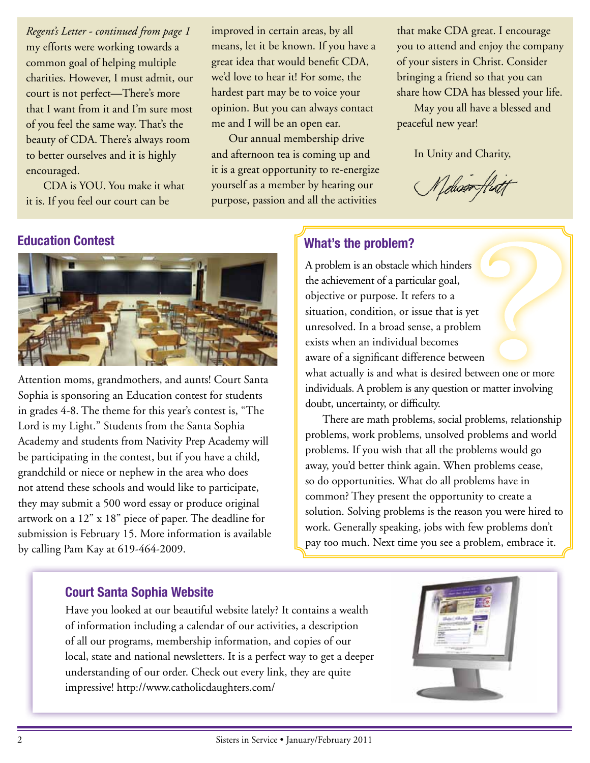my efforts were working towards a common goal of helping multiple charities. However, I must admit, our court is not perfect—There's more that I want from it and I'm sure most of you feel the same way. That's the beauty of CDA. There's always room to better ourselves and it is highly encouraged. *Regent's Letter - continued from page 1*

CDA is YOU. You make it what it is. If you feel our court can be

improved in certain areas, by all means, let it be known. If you have a great idea that would benefit CDA, we'd love to hear it! For some, the hardest part may be to voice your opinion. But you can always contact me and I will be an open ear.

Our annual membership drive and afternoon tea is coming up and it is a great opportunity to re-energize yourself as a member by hearing our purpose, passion and all the activities

that make CDA great. I encourage you to attend and enjoy the company of your sisters in Christ. Consider bringing a friend so that you can share how CDA has blessed your life.

May you all have a blessed and peaceful new year!

In Unity and Charity,

Melison flux



Attention moms, grandmothers, and aunts! Court Santa Sophia is sponsoring an Education contest for students in grades 4-8. The theme for this year's contest is, "The Lord is my Light." Students from the Santa Sophia Academy and students from Nativity Prep Academy will be participating in the contest, but if you have a child, grandchild or niece or nephew in the area who does not attend these schools and would like to participate, they may submit a 500 word essay or produce original artwork on a 12" x 18" piece of paper. The deadline for submission is February 15. More information is available by calling Pam Kay at 619-464-2009.

### **Education Contest What's the problem?**

A problem is an obstacle which hinders the achievement of a particular goal, objective or purpose. It refers to a situation, condition, or issue that is yet unresolved. In a broad sense, a problem exists when an individual becomes aware of a significant difference between what actually is and what is desired between one or more individuals. A problem is any question or matter involving doubt, uncertainty, or difficulty.

There are math problems, social problems, relationship problems, work problems, unsolved problems and world problems. If you wish that all the problems would go away, you'd better think again. When problems cease, so do opportunities. What do all problems have in common? They present the opportunity to create a solution. Solving problems is the reason you were hired to work. Generally speaking, jobs with few problems don't pay too much. Next time you see a problem, embrace it.

#### **Court Santa Sophia Website**

Have you looked at our beautiful website lately? It contains a wealth of information including a calendar of our activities, a description of all our programs, membership information, and copies of our local, state and national newsletters. It is a perfect way to get a deeper understanding of our order. Check out every link, they are quite impressive! http://www.catholicdaughters.com/

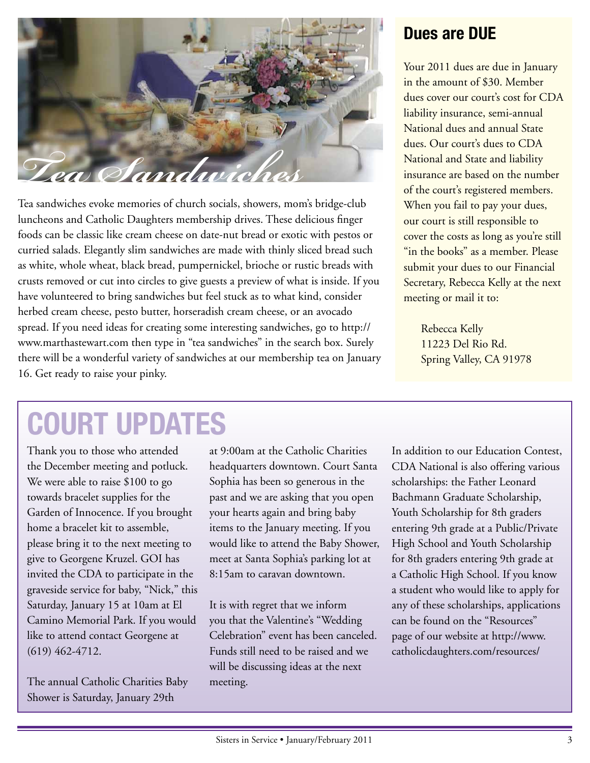

luncheons and Catholic Daughters membership drives. These delicious finger foods can be classic like cream cheese on date-nut bread or exotic with pestos or curried salads. Elegantly slim sandwiches are made with thinly sliced bread such as white, whole wheat, black bread, pumpernickel, brioche or rustic breads with crusts removed or cut into circles to give guests a preview of what is inside. If you have volunteered to bring sandwiches but feel stuck as to what kind, consider herbed cream cheese, pesto butter, horseradish cream cheese, or an avocado spread. If you need ideas for creating some interesting sandwiches, go to http:// www.marthastewart.com then type in "tea sandwiches" in the search box. Surely there will be a wonderful variety of sandwiches at our membership tea on January 16. Get ready to raise your pinky.

### **Dues are DUE**

Your 2011 dues are due in January in the amount of \$30. Member dues cover our court's cost for CDA liability insurance, semi-annual National dues and annual State dues. Our court's dues to CDA National and State and liability insurance are based on the number of the court's registered members. When you fail to pay your dues, our court is still responsible to cover the costs as long as you're still "in the books" as a member. Please submit your dues to our Financial Secretary, Rebecca Kelly at the next meeting or mail it to:

> Rebecca Kelly 11223 Del Rio Rd. Spring Valley, CA 91978

## **COURT UPDATES**

Thank you to those who attended the December meeting and potluck. We were able to raise \$100 to go towards bracelet supplies for the Garden of Innocence. If you brought home a bracelet kit to assemble, please bring it to the next meeting to give to Georgene Kruzel. GOI has invited the CDA to participate in the graveside service for baby, "Nick," this Saturday, January 15 at 10am at El Camino Memorial Park. If you would like to attend contact Georgene at (619) 462-4712.

The annual Catholic Charities Baby Shower is Saturday, January 29th

at 9:00am at the Catholic Charities headquarters downtown. Court Santa Sophia has been so generous in the past and we are asking that you open your hearts again and bring baby items to the January meeting. If you would like to attend the Baby Shower, meet at Santa Sophia's parking lot at 8:15am to caravan downtown.

It is with regret that we inform you that the Valentine's "Wedding Celebration" event has been canceled. Funds still need to be raised and we will be discussing ideas at the next meeting.

In addition to our Education Contest, CDA National is also offering various scholarships: the Father Leonard Bachmann Graduate Scholarship, Youth Scholarship for 8th graders entering 9th grade at a Public/Private High School and Youth Scholarship for 8th graders entering 9th grade at a Catholic High School. If you know a student who would like to apply for any of these scholarships, applications can be found on the "Resources" page of our website at http://www. catholicdaughters.com/resources/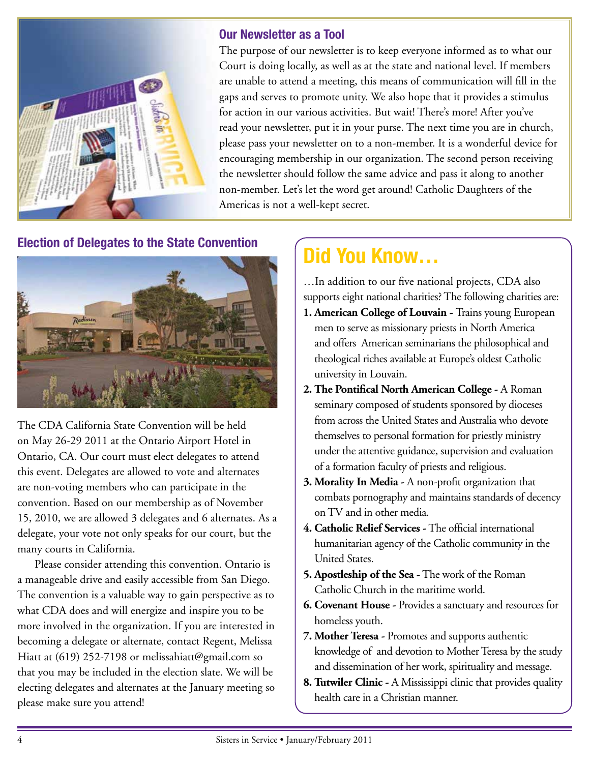

#### **Our Newsletter as a Tool**

The purpose of our newsletter is to keep everyone informed as to what our Court is doing locally, as well as at the state and national level. If members are unable to attend a meeting, this means of communication will fill in the gaps and serves to promote unity. We also hope that it provides a stimulus for action in our various activities. But wait! There's more! After you've read your newsletter, put it in your purse. The next time you are in church, please pass your newsletter on to a non-member. It is a wonderful device for encouraging membership in our organization. The second person receiving the newsletter should follow the same advice and pass it along to another non-member. Let's let the word get around! Catholic Daughters of the Americas is not a well-kept secret.

#### **Election of Delegates to the State Convention**



The CDA California State Convention will be held on May 26-29 2011 at the Ontario Airport Hotel in Ontario, CA. Our court must elect delegates to attend this event. Delegates are allowed to vote and alternates are non-voting members who can participate in the convention. Based on our membership as of November 15, 2010, we are allowed 3 delegates and 6 alternates. As a delegate, your vote not only speaks for our court, but the many courts in California.

Please consider attending this convention. Ontario is a manageable drive and easily accessible from San Diego. The convention is a valuable way to gain perspective as to what CDA does and will energize and inspire you to be more involved in the organization. If you are interested in becoming a delegate or alternate, contact Regent, Melissa Hiatt at (619) 252-7198 or melissahiatt@gmail.com so that you may be included in the election slate. We will be electing delegates and alternates at the January meeting so please make sure you attend!

### **Did You Know…**

…In addition to our five national projects, CDA also supports eight national charities? The following charities are:

- **1. American College of Louvain** Trains young European men to serve as missionary priests in North America and offers American seminarians the philosophical and theological riches available at Europe's oldest Catholic university in Louvain.
- **2. The Pontifical North American College -** A Roman seminary composed of students sponsored by dioceses from across the United States and Australia who devote themselves to personal formation for priestly ministry under the attentive guidance, supervision and evaluation of a formation faculty of priests and religious.
- **3. Morality In Media -** A non-profit organization that combats pornography and maintains standards of decency on TV and in other media.
- **4. Catholic Relief Services -** The official international humanitarian agency of the Catholic community in the United States.
- **5. Apostleship of the Sea -** The work of the Roman Catholic Church in the maritime world.
- **6. Covenant House -** Provides a sanctuary and resources for homeless youth.
- **7. Mother Teresa -** Promotes and supports authentic knowledge of and devotion to Mother Teresa by the study and dissemination of her work, spirituality and message.
- **8. Tutwiler Clinic -** A Mississippi clinic that provides quality health care in a Christian manner.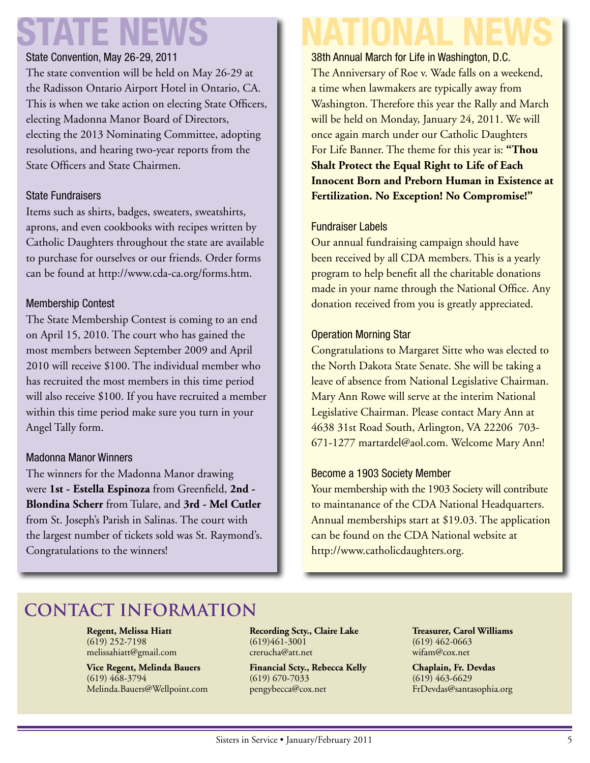# **STATE NEWS NATIONAL NEWS**

#### State Convention, May 26-29, 2011

The state convention will be held on May 26-29 at the Radisson Ontario Airport Hotel in Ontario, CA. This is when we take action on electing State Officers, electing Madonna Manor Board of Directors, electing the 2013 Nominating Committee, adopting resolutions, and hearing two-year reports from the State Officers and State Chairmen.

#### State Fundraisers

Items such as shirts, badges, sweaters, sweatshirts, aprons, and even cookbooks with recipes written by Catholic Daughters throughout the state are available to purchase for ourselves or our friends. Order forms can be found at http://www.cda-ca.org/forms.htm.

#### Membership Contest

The State Membership Contest is coming to an end on April 15, 2010. The court who has gained the most members between September 2009 and April 2010 will receive \$100. The individual member who has recruited the most members in this time period will also receive \$100. If you have recruited a member within this time period make sure you turn in your Angel Tally form.

#### Madonna Manor Winners

The winners for the Madonna Manor drawing were **1st - Estella Espinoza** from Greenfield, **2nd - Blondina Scherr** from Tulare, and **3rd - Mel Cutler** from St. Joseph's Parish in Salinas. The court with the largest number of tickets sold was St. Raymond's. Congratulations to the winners!

38th Annual March for Life in Washington, D.C. The Anniversary of Roe v. Wade falls on a weekend, a time when lawmakers are typically away from Washington. Therefore this year the Rally and March will be held on Monday, January 24, 2011. We will once again march under our Catholic Daughters For Life Banner. The theme for this year is: **"Thou Shalt Protect the Equal Right to Life of Each Innocent Born and Preborn Human in Existence at Fertilization. No Exception! No Compromise!"**

#### Fundraiser Labels

Our annual fundraising campaign should have been received by all CDA members. This is a yearly program to help benefit all the charitable donations made in your name through the National Office. Any donation received from you is greatly appreciated.

#### Operation Morning Star

Congratulations to Margaret Sitte who was elected to the North Dakota State Senate. She will be taking a leave of absence from National Legislative Chairman. Mary Ann Rowe will serve at the interim National Legislative Chairman. Please contact Mary Ann at 4638 31st Road South, Arlington, VA 22206 703- 671-1277 martardel@aol.com. Welcome Mary Ann!

#### Become a 1903 Society Member

Your membership with the 1903 Society will contribute to maintanance of the CDA National Headquarters. Annual memberships start at \$19.03. The application can be found on the CDA National website at http://www.catholicdaughters.org.

### **Contact Information**

**Regent, Melissa Hiatt** (619) 252-7198 melissahiatt@gmail.com

**Vice Regent, Melinda Bauers** (619) 468-3794 Melinda.Bauers@Wellpoint.com **Recording Scty., Claire Lake** (619)461-3001 crerucha@att.net

**Financial Scty., Rebecca Kelly** (619) 670-7033 pengybecca@cox.net

**Treasurer, Carol Williams** (619) 462-0663 wifam@cox.net

**Chaplain, Fr. Devdas** (619) 463-6629 FrDevdas@santasophia.org